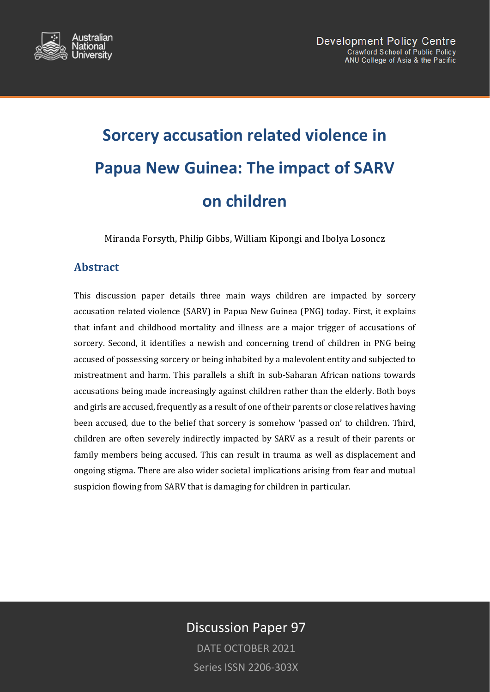

# **Sorcery accusation related violence in Papua New Guinea: The impact of SARV on children**

Miranda Forsyth, Philip Gibbs, William Kipongi and Ibolya Losoncz

# **Abstract**

This discussion paper details three main ways children are impacted by sorcery accusation related violence (SARV) in Papua New Guinea (PNG) today. First, it explains that infant and childhood mortality and illness are a major trigger of accusations of sorcery. Second, it identifies a newish and concerning trend of children in PNG being accused of possessing sorcery or being inhabited by a malevolent entity and subjected to mistreatment and harm. This parallels a shift in sub-Saharan African nations towards accusations being made increasingly against children rather than the elderly. Both boys and girls are accused, frequently as a result of one of their parents or close relatives having been accused, due to the belief that sorcery is somehow 'passed on' to children. Third, children are often severely indirectly impacted by SARV as a result of their parents or family members being accused. This can result in trauma as well as displacement and ongoing stigma. There are also wider societal implications arising from fear and mutual suspicion flowing from SARV that is damaging for children in particular.

# Discussion Paper 97

DATE OCTOBER 2021 Series ISSN 2206-303X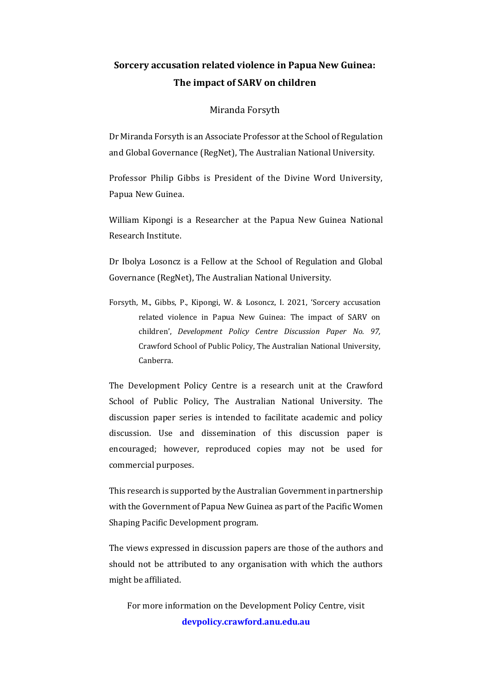# **Sorcery accusation related violence in Papua New Guinea: The impact of SARV on children**

#### Miranda Forsyth

Dr Miranda Forsyth is an Associate Professor at the School of Regulation and Global Governance (RegNet), The Australian National University.

Professor Philip Gibbs is President of the Divine Word University, Papua New Guinea.

William Kipongi is a Researcher at the Papua New Guinea National Research Institute.

Dr Ibolya Losoncz is a Fellow at the School of Regulation and Global Governance (RegNet), The Australian National University.

Forsyth, M., Gibbs, P., Kipongi, W. & Losoncz, I. 2021, 'Sorcery accusation related violence in Papua New Guinea: The impact of SARV on children', *Development Policy Centre Discussion Paper No. 97,* Crawford School of Public Policy, The Australian National University, Canberra.

The Development Policy Centre is a research unit at the Crawford School of Public Policy, The Australian National University. The discussion paper series is intended to facilitate academic and policy discussion. Use and dissemination of this discussion paper is encouraged; however, reproduced copies may not be used for commercial purposes.

This research is supported by the Australian Government in partnership with the Government of Papua New Guinea as part of the Pacific Women Shaping Pacific Development program.

The views expressed in discussion papers are those of the authors and should not be attributed to any organisation with which the authors might be affiliated.

For more information on the Development Policy Centre, visit **[devpolicy.crawford.anu.edu.au](https://devpolicy.crawford.anu.edu.au/)**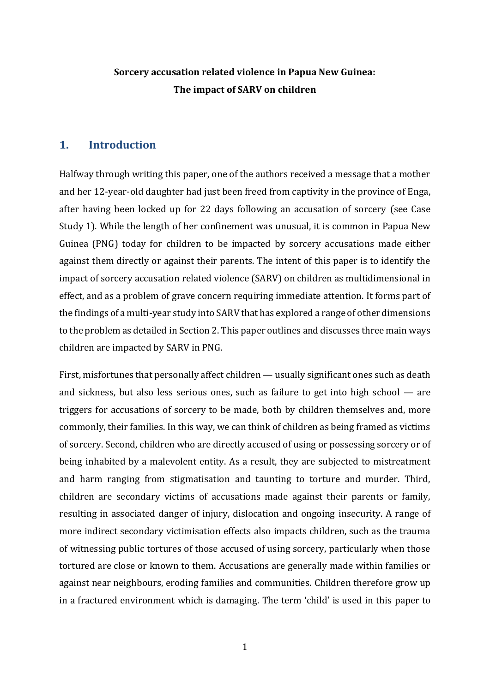# **Sorcery accusation related violence in Papua New Guinea: The impact of SARV on children**

# **1. Introduction**

Halfway through writing this paper, one of the authors received a message that a mother and her 12-year-old daughter had just been freed from captivity in the province of Enga, after having been locked up for 22 days following an accusation of sorcery (see Case Study 1). While the length of her confinement was unusual, it is common in Papua New Guinea (PNG) today for children to be impacted by sorcery accusations made either against them directly or against their parents. The intent of this paper is to identify the impact of sorcery accusation related violence (SARV) on children as multidimensional in effect, and as a problem of grave concern requiring immediate attention. It forms part of the findings of a multi-year study into SARV that has explored a range of other dimensions to the problem as detailed in Section 2. This paper outlines and discusses three main ways children are impacted by SARV in PNG.

First, misfortunes that personally affect children — usually significant ones such as death and sickness, but also less serious ones, such as failure to get into high school — are triggers for accusations of sorcery to be made, both by children themselves and, more commonly, their families. In this way, we can think of children as being framed as victims of sorcery. Second, children who are directly accused of using or possessing sorcery or of being inhabited by a malevolent entity. As a result, they are subjected to mistreatment and harm ranging from stigmatisation and taunting to torture and murder. Third, children are secondary victims of accusations made against their parents or family, resulting in associated danger of injury, dislocation and ongoing insecurity. A range of more indirect secondary victimisation effects also impacts children, such as the trauma of witnessing public tortures of those accused of using sorcery, particularly when those tortured are close or known to them. Accusations are generally made within families or against near neighbours, eroding families and communities. Children therefore grow up in a fractured environment which is damaging. The term 'child' is used in this paper to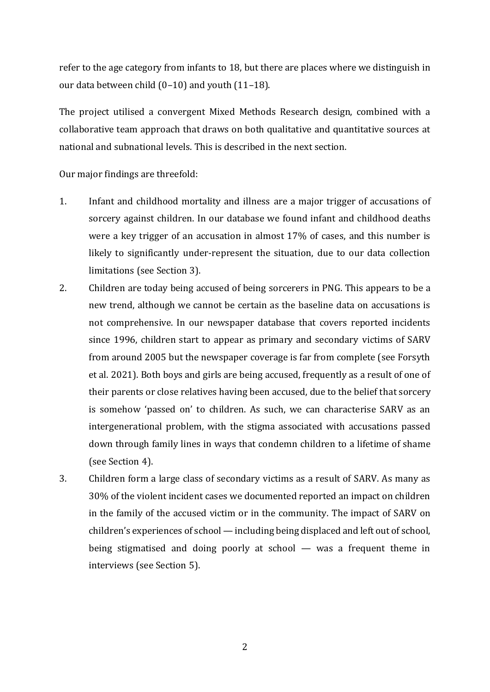refer to the age category from infants to 18, but there are places where we distinguish in our data between child (0–10) and youth (11–18).

The project utilised a convergent Mixed Methods Research design, combined with a collaborative team approach that draws on both qualitative and quantitative sources at national and subnational levels. This is described in the next section.

Our major findings are threefold:

- 1. Infant and childhood mortality and illness are a major trigger of accusations of sorcery against children. In our database we found infant and childhood deaths were a key trigger of an accusation in almost 17% of cases, and this number is likely to significantly under-represent the situation, due to our data collection limitations (see Section 3).
- 2. Children are today being accused of being sorcerers in PNG. This appears to be a new trend, although we cannot be certain as the baseline data on accusations is not comprehensive. In our newspaper database that covers reported incidents since 1996, children start to appear as primary and secondary victims of SARV from around 2005 but the newspaper coverage is far from complete (see Forsyth et al. 2021). Both boys and girls are being accused, frequently as a result of one of their parents or close relatives having been accused, due to the belief that sorcery is somehow 'passed on' to children. As such, we can characterise SARV as an intergenerational problem, with the stigma associated with accusations passed down through family lines in ways that condemn children to a lifetime of shame (see Section 4).
- 3. Children form a large class of secondary victims as a result of SARV. As many as 30% of the violent incident cases we documented reported an impact on children in the family of the accused victim or in the community. The impact of SARV on children's experiences of school —including being displaced and left out of school, being stigmatised and doing poorly at school — was a frequent theme in interviews (see Section 5).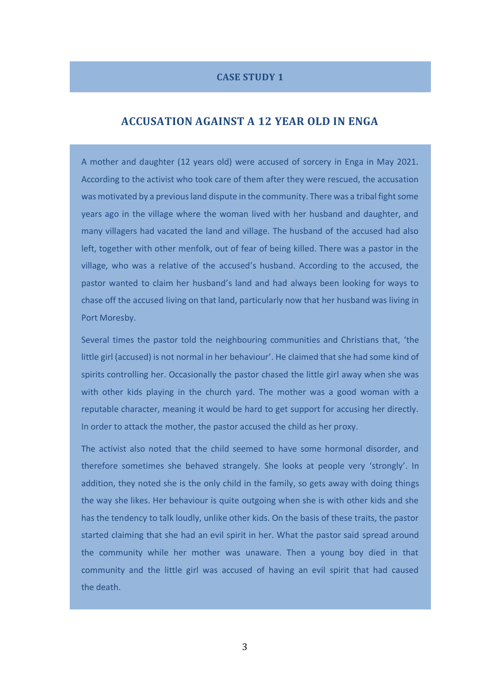### **CASE STUDY 1**

### **ACCUSATION AGAINST A 12 YEAR OLD IN ENGA**

A mother and daughter (12 years old) were accused of sorcery in Enga in May 2021. According to the activist who took care of them after they were rescued, the accusation was motivated by a previous land dispute in the community. There was a tribal fight some years ago in the village where the woman lived with her husband and daughter, and many villagers had vacated the land and village. The husband of the accused had also left, together with other menfolk, out of fear of being killed. There was a pastor in the village, who was a relative of the accused's husband. According to the accused, the pastor wanted to claim her husband's land and had always been looking for ways to chase off the accused living on that land, particularly now that her husband was living in Port Moresby.

Several times the pastor told the neighbouring communities and Christians that, 'the little girl (accused) is not normal in her behaviour'. He claimed that she had some kind of spirits controlling her. Occasionally the pastor chased the little girl away when she was with other kids playing in the church yard. The mother was a good woman with a reputable character, meaning it would be hard to get support for accusing her directly. In order to attack the mother, the pastor accused the child as her proxy.

The activist also noted that the child seemed to have some hormonal disorder, and therefore sometimes she behaved strangely. She looks at people very 'strongly'. In addition, they noted she is the only child in the family, so gets away with doing things the way she likes. Her behaviour is quite outgoing when she is with other kids and she has the tendency to talk loudly, unlike other kids. On the basis of these traits, the pastor started claiming that she had an evil spirit in her. What the pastor said spread around the community while her mother was unaware. Then a young boy died in that community and the little girl was accused of having an evil spirit that had caused the death.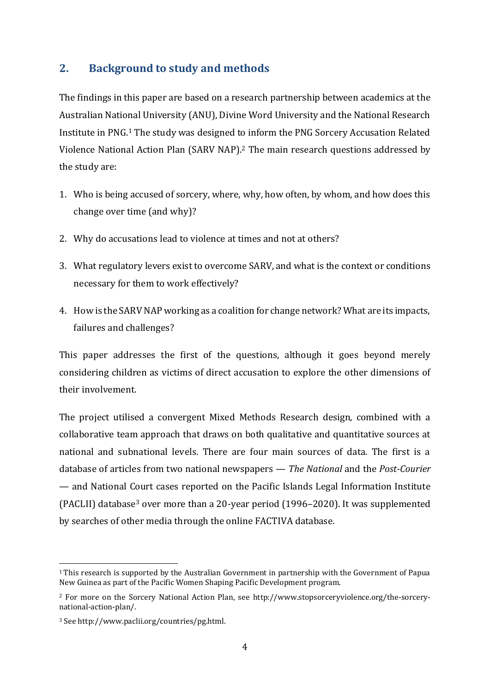# **2. Background to study and methods**

The findings in this paper are based on a research partnership between academics at the Australian National University (ANU), Divine Word University and the National Research Institute in PNG.<sup>1</sup> The study was designed to inform the PNG Sorcery Accusation Related Violence National Action Plan (SARV NAP).<sup>2</sup> The main research questions addressed by the study are:

- 1. Who is being accused of sorcery, where, why, how often, by whom, and how does this change over time (and why)?
- 2. Why do accusations lead to violence at times and not at others?
- 3. What regulatory levers exist to overcome SARV, and what is the context or conditions necessary for them to work effectively?
- 4. How is the SARV NAP working as a coalition for change network? What are its impacts, failures and challenges?

This paper addresses the first of the questions, although it goes beyond merely considering children as victims of direct accusation to explore the other dimensions of their involvement.

The project utilised a convergent Mixed Methods Research design, combined with a collaborative team approach that draws on both qualitative and quantitative sources at national and subnational levels. There are four main sources of data. The first is a database of articles from two national newspapers — *The National* and the *Post-Courier* — and National Court cases reported on the Pacific Islands Legal Information Institute (PACLII) database<sup>3</sup> over more than a 20-year period (1996–2020). It was supplemented by searches of other media through the online FACTIVA database.

<sup>1</sup> This research is supported by the Australian Government in partnership with the Government of Papua New Guinea as part of the Pacific Women Shaping Pacific Development program.

<sup>2</sup> For more on the Sorcery National Action Plan, see [http://www.stopsorceryviolence.org/the-sorcery](http://www.stopsorceryviolence.org/the-sorcery-national-action-plan/)[national-action-plan/.](http://www.stopsorceryviolence.org/the-sorcery-national-action-plan/) 

<sup>3</sup> Se[e http://www.paclii.org/countries/pg.html.](http://www.paclii.org/countries/pg.html)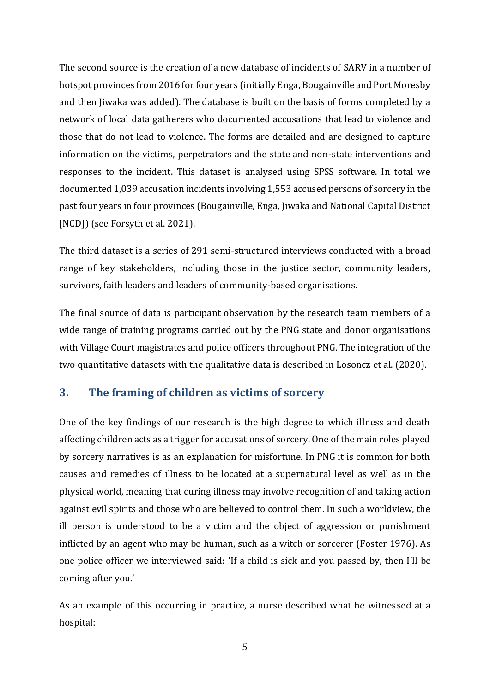The second source is the creation of a new database of incidents of SARV in a number of hotspot provinces from 2016 for four years (initially Enga, Bougainville and Port Moresby and then Jiwaka was added). The database is built on the basis of forms completed by a network of local data gatherers who documented accusations that lead to violence and those that do not lead to violence. The forms are detailed and are designed to capture information on the victims, perpetrators and the state and non-state interventions and responses to the incident. This dataset is analysed using SPSS software. In total we documented 1,039 accusation incidents involving 1,553 accused persons of sorcery in the past four years in four provinces (Bougainville, Enga, Jiwaka and National Capital District [NCD]) (see Forsyth et al. 2021).

The third dataset is a series of 291 semi-structured interviews conducted with a broad range of key stakeholders, including those in the justice sector, community leaders, survivors, faith leaders and leaders of community-based organisations.

The final source of data is participant observation by the research team members of a wide range of training programs carried out by the PNG state and donor organisations with Village Court magistrates and police officers throughout PNG. The integration of the two quantitative datasets with the qualitative data is described in Losoncz et al. (2020).

# **3. The framing of children as victims of sorcery**

One of the key findings of our research is the high degree to which illness and death affecting children acts as a trigger for accusations of sorcery. One of the main roles played by sorcery narratives is as an explanation for misfortune. In PNG it is common for both causes and remedies of illness to be located at a supernatural level as well as in the physical world, meaning that curing illness may involve recognition of and taking action against evil spirits and those who are believed to control them. In such a worldview, the ill person is understood to be a victim and the object of aggression or punishment inflicted by an agent who may be human, such as a witch or sorcerer (Foster 1976). As one police officer we interviewed said: 'If a child is sick and you passed by, then I'll be coming after you.'

As an example of this occurring in practice, a nurse described what he witnessed at a hospital: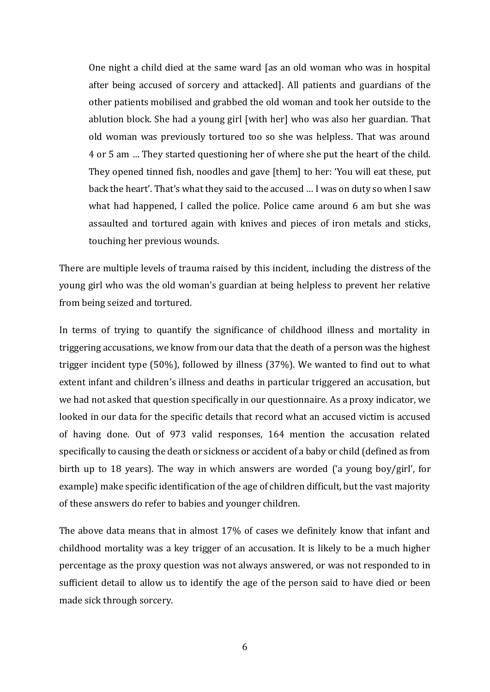One night a child died at the same ward [as an old woman who was in hospital after being accused of sorcery and attacked]. All patients and guardians of the other patients mobilised and grabbed the old woman and took her outside to the ablution block. She had a young girl [with her] who was also her guardian. That old woman was previously tortured too so she was helpless. That was around 4 or 5 am … They started questioning her of where she put the heart of the child. They opened tinned fish, noodles and gave [them] to her: 'You will eat these, put back the heart'. That's what they said to the accused … I was on duty so when I saw what had happened, I called the police. Police came around 6 am but she was assaulted and tortured again with knives and pieces of iron metals and sticks, touching her previous wounds.

There are multiple levels of trauma raised by this incident, including the distress of the young girl who was the old woman's guardian at being helpless to prevent her relative from being seized and tortured.

In terms of trying to quantify the significance of childhood illness and mortality in triggering accusations, we know from our data that the death of a person was the highest trigger incident type (50%), followed by illness (37%). We wanted to find out to what extent infant and children's illness and deaths in particular triggered an accusation, but we had not asked that question specifically in our questionnaire. As a proxy indicator, we looked in our data for the specific details that record what an accused victim is accused of having done. Out of 973 valid responses, 164 mention the accusation related specifically to causing the death or sickness or accident of a baby or child (defined as from birth up to 18 years). The way in which answers are worded ('a young boy/girl', for example) make specific identification of the age of children difficult, but the vast majority of these answers do refer to babies and younger children.

The above data means that in almost 17% of cases we definitely know that infant and childhood mortality was a key trigger of an accusation. It is likely to be a much higher percentage as the proxy question was not always answered, or was not responded to in sufficient detail to allow us to identify the age of the person said to have died or been made sick through sorcery.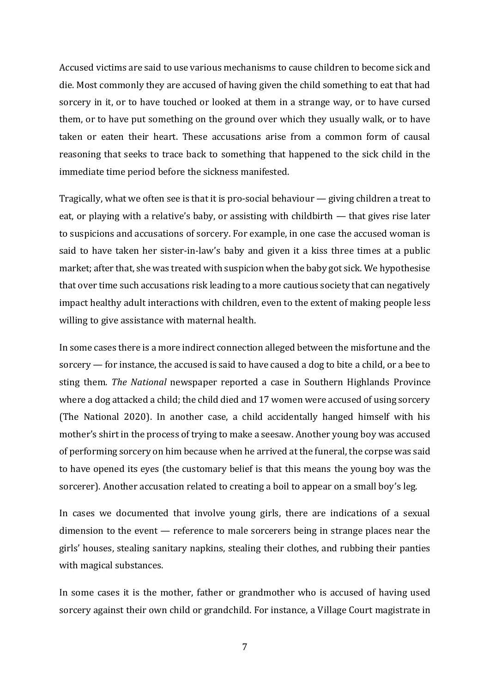Accused victims are said to use various mechanisms to cause children to become sick and die. Most commonly they are accused of having given the child something to eat that had sorcery in it, or to have touched or looked at them in a strange way, or to have cursed them, or to have put something on the ground over which they usually walk, or to have taken or eaten their heart. These accusations arise from a common form of causal reasoning that seeks to trace back to something that happened to the sick child in the immediate time period before the sickness manifested.

Tragically, what we often see is that it is pro-social behaviour — giving children a treat to eat, or playing with a relative's baby, or assisting with childbirth — that gives rise later to suspicions and accusations of sorcery. For example, in one case the accused woman is said to have taken her sister-in-law's baby and given it a kiss three times at a public market; after that, she was treated with suspicion when the baby got sick. We hypothesise that over time such accusations risk leading to a more cautious society that can negatively impact healthy adult interactions with children, even to the extent of making people less willing to give assistance with maternal health.

In some cases there is a more indirect connection alleged between the misfortune and the sorcery — for instance, the accused is said to have caused a dog to bite a child, or a bee to sting them. *The National* newspaper reported a case in Southern Highlands Province where a dog attacked a child; the child died and 17 women were accused of using sorcery (The National 2020). In another case, a child accidentally hanged himself with his mother's shirt in the process of trying to make a seesaw. Another young boy was accused of performing sorcery on him because when he arrived at the funeral, the corpse was said to have opened its eyes (the customary belief is that this means the young boy was the sorcerer). Another accusation related to creating a boil to appear on a small boy's leg.

In cases we documented that involve young girls, there are indications of a sexual dimension to the event — reference to male sorcerers being in strange places near the girls' houses, stealing sanitary napkins, stealing their clothes, and rubbing their panties with magical substances.

In some cases it is the mother, father or grandmother who is accused of having used sorcery against their own child or grandchild. For instance, a Village Court magistrate in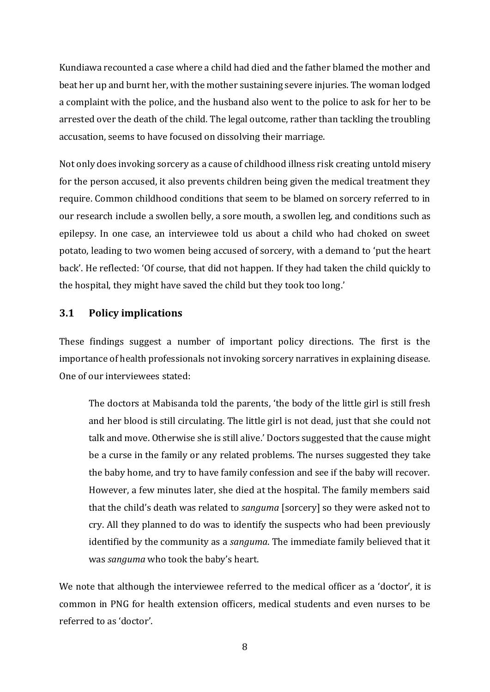Kundiawa recounted a case where a child had died and the father blamed the mother and beat her up and burnt her, with the mother sustaining severe injuries. The woman lodged a complaint with the police, and the husband also went to the police to ask for her to be arrested over the death of the child. The legal outcome, rather than tackling the troubling accusation, seems to have focused on dissolving their marriage.

Not only does invoking sorcery as a cause of childhood illness risk creating untold misery for the person accused, it also prevents children being given the medical treatment they require. Common childhood conditions that seem to be blamed on sorcery referred to in our research include a swollen belly, a sore mouth, a swollen leg, and conditions such as epilepsy. In one case, an interviewee told us about a child who had choked on sweet potato, leading to two women being accused of sorcery, with a demand to 'put the heart back'. He reflected: 'Of course, that did not happen. If they had taken the child quickly to the hospital, they might have saved the child but they took too long.'

## **3.1 Policy implications**

These findings suggest a number of important policy directions. The first is the importance of health professionals not invoking sorcery narratives in explaining disease. One of our interviewees stated:

The doctors at Mabisanda told the parents, 'the body of the little girl is still fresh and her blood is still circulating. The little girl is not dead, just that she could not talk and move. Otherwise she is still alive.' Doctors suggested that the cause might be a curse in the family or any related problems. The nurses suggested they take the baby home, and try to have family confession and see if the baby will recover. However, a few minutes later, she died at the hospital. The family members said that the child's death was related to *sanguma* [sorcery] so they were asked not to cry. All they planned to do was to identify the suspects who had been previously identified by the community as a *sanguma*. The immediate family believed that it was *sanguma* who took the baby's heart.

We note that although the interviewee referred to the medical officer as a 'doctor', it is common in PNG for health extension officers, medical students and even nurses to be referred to as 'doctor'.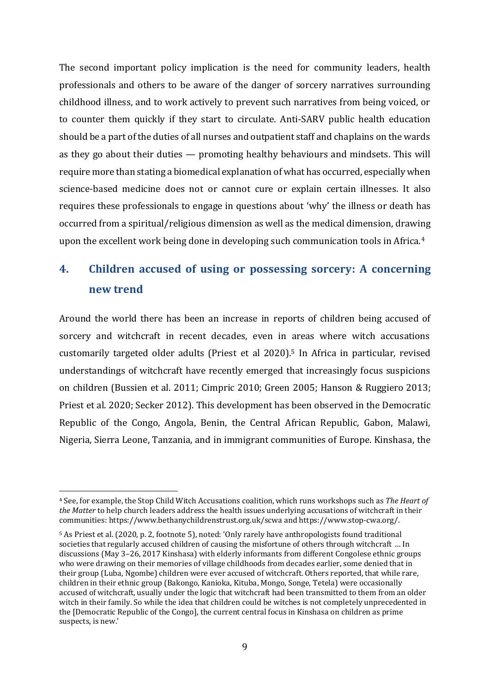The second important policy implication is the need for community leaders, health professionals and others to be aware of the danger of sorcery narratives surrounding childhood illness, and to work actively to prevent such narratives from being voiced, or to counter them quickly if they start to circulate. Anti-SARV public health education should be a part of the duties of all nurses and outpatient staff and chaplains on the wards as they go about their duties — promoting healthy behaviours and mindsets. This will require more than stating a biomedical explanation of what has occurred, especially when science-based medicine does not or cannot cure or explain certain illnesses. It also requires these professionals to engage in questions about 'why' the illness or death has occurred from a spiritual/religious dimension as well as the medical dimension, drawing upon the excellent work being done in developing such communication tools in Africa.<sup>4</sup>

# **4. Children accused of using or possessing sorcery: A concerning new trend**

Around the world there has been an increase in reports of children being accused of sorcery and witchcraft in recent decades, even in areas where witch accusations customarily targeted older adults (Priest et al 2020).<sup>5</sup> In Africa in particular, revised understandings of witchcraft have recently emerged that increasingly focus suspicions on children (Bussien et al. 2011; Cimpric 2010; Green 2005; Hanson & Ruggiero 2013; Priest et al. 2020; Secker 2012). This development has been observed in the Democratic Republic of the Congo, Angola, Benin, the Central African Republic, Gabon, Malawi, Nigeria, Sierra Leone, Tanzania, and in immigrant communities of Europe. Kinshasa, the

<sup>4</sup> See, for example, the Stop Child Witch Accusations coalition, which runs workshops such as *The Heart of the Matter* to help church leaders address the health issues underlying accusations of witchcraft in their communities: <https://www.bethanychildrenstrust.org.uk/scwa> and [https://www.stop-cwa.org/.](https://www.stop-cwa.org/)

<sup>5</sup> As Priest et al. (2020, p. 2, footnote 5), noted: 'Only rarely have anthropologists found traditional societies that regularly accused children of causing the misfortune of others through witchcraft … In discussions (May 3–26, 2017 Kinshasa) with elderly informants from different Congolese ethnic groups who were drawing on their memories of village childhoods from decades earlier, some denied that in their group (Luba, Ngombe) children were ever accused of witchcraft. Others reported, that while rare, children in their ethnic group (Bakongo, Kanioka, Kituba, Mongo, Songe, Tetela) were occasionally accused of witchcraft, usually under the logic that witchcraft had been transmitted to them from an older witch in their family. So while the idea that children could be witches is not completely unprecedented in the [Democratic Republic of the Congo], the current central focus in Kinshasa on children as prime suspects, is new.'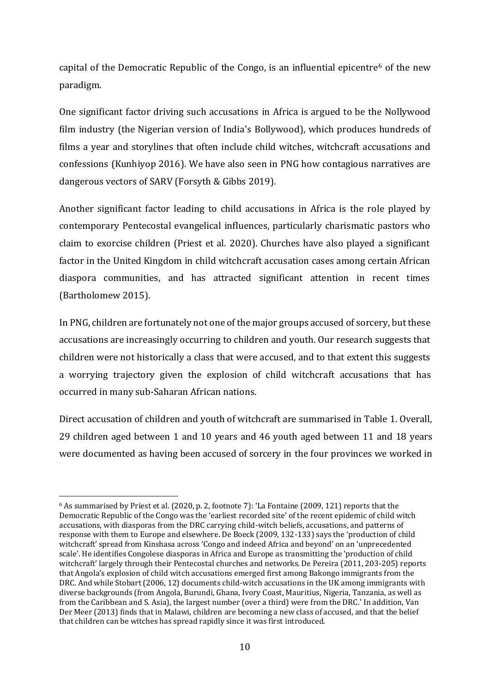capital of the Democratic Republic of the Congo, is an influential epicentre<sup>6</sup> of the new paradigm.

One significant factor driving such accusations in Africa is argued to be the Nollywood film industry (the Nigerian version of India's Bollywood), which produces hundreds of films a year and storylines that often include child witches, witchcraft accusations and confessions (Kunhiyop 2016). We have also seen in PNG how contagious narratives are dangerous vectors of SARV (Forsyth & Gibbs 2019).

Another significant factor leading to child accusations in Africa is the role played by contemporary Pentecostal evangelical influences, particularly charismatic pastors who claim to exorcise children (Priest et al. 2020). Churches have also played a significant factor in the United Kingdom in child witchcraft accusation cases among certain African diaspora communities, and has attracted significant attention in recent times (Bartholomew 2015).

In PNG, children are fortunately not one of the major groups accused of sorcery, but these accusations are increasingly occurring to children and youth. Our research suggests that children were not historically a class that were accused, and to that extent this suggests a worrying trajectory given the explosion of child witchcraft accusations that has occurred in many sub-Saharan African nations.

Direct accusation of children and youth of witchcraft are summarised in Table 1. Overall, 29 children aged between 1 and 10 years and 46 youth aged between 11 and 18 years were documented as having been accused of sorcery in the four provinces we worked in

<sup>6</sup> As summarised by Priest et al. (2020, p. 2, footnote 7): 'La Fontaine (2009, 121) reports that the Democratic Republic of the Congo was the 'earliest recorded site' of the recent epidemic of child witch accusations, with diasporas from the DRC carrying child-witch beliefs, accusations, and patterns of response with them to Europe and elsewhere. De Boeck (2009, 132-133) says the 'production of child witchcraft' spread from Kinshasa across 'Congo and indeed Africa and beyond' on an 'unprecedented scale'. He identifies Congolese diasporas in Africa and Europe as transmitting the 'production of child witchcraft' largely through their Pentecostal churches and networks. De Pereira (2011, 203-205) reports that Angola's explosion of child witch accusations emerged first among Bakongo immigrants from the DRC. And while Stobart (2006, 12) documents child-witch accusations in the UK among immigrants with diverse backgrounds (from Angola, Burundi, Ghana, Ivory Coast, Mauritius, Nigeria, Tanzania, as well as from the Caribbean and S. Asia), the largest number (over a third) were from the DRC.' In addition, Van Der Meer (2013) finds that in Malawi, children are becoming a new class of accused, and that the belief that children can be witches has spread rapidly since it was first introduced.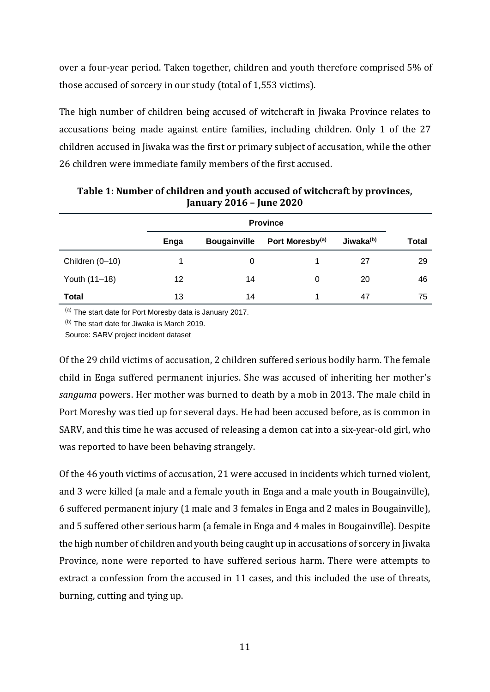over a four-year period. Taken together, children and youth therefore comprised 5% of those accused of sorcery in our study (total of 1,553 victims).

The high number of children being accused of witchcraft in Jiwaka Province relates to accusations being made against entire families, including children. Only 1 of the 27 children accused in Jiwaka was the first or primary subject of accusation, while the other 26 children were immediate family members of the first accused.

|                 | Enga | <b>Bougainville</b> | Port Moresby <sup>(a)</sup> | Jiwaka <sup>(b)</sup> | Total |  |
|-----------------|------|---------------------|-----------------------------|-----------------------|-------|--|
| Children (0-10) |      | 0                   |                             | 27                    | 29    |  |
| Youth (11-18)   | 12   | 14                  | 0                           | 20                    | 46    |  |
| Total           | 13   | 14                  |                             | 47                    | 75    |  |

**Table 1: Number of children and youth accused of witchcraft by provinces, January 2016 – June 2020**

(a) The start date for Port Moresby data is January 2017.

(b) The start date for Jiwaka is March 2019.

Source: SARV project incident dataset

Of the 29 child victims of accusation, 2 children suffered serious bodily harm. The female child in Enga suffered permanent injuries. She was accused of inheriting her mother's *sanguma* powers. Her mother was burned to death by a mob in 2013. The male child in Port Moresby was tied up for several days. He had been accused before, as is common in SARV, and this time he was accused of releasing a demon cat into a six-year-old girl, who was reported to have been behaving strangely.

Of the 46 youth victims of accusation, 21 were accused in incidents which turned violent, and 3 were killed (a male and a female youth in Enga and a male youth in Bougainville), 6 suffered permanent injury (1 male and 3 females in Enga and 2 males in Bougainville), and 5 suffered other serious harm (a female in Enga and 4 males in Bougainville). Despite the high number of children and youth being caught up in accusations of sorcery in Jiwaka Province, none were reported to have suffered serious harm. There were attempts to extract a confession from the accused in 11 cases, and this included the use of threats, burning, cutting and tying up.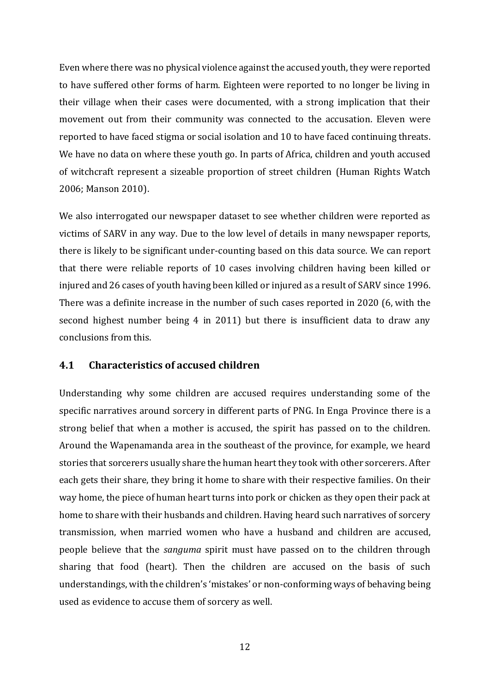Even where there was no physical violence against the accused youth, they were reported to have suffered other forms of harm. Eighteen were reported to no longer be living in their village when their cases were documented, with a strong implication that their movement out from their community was connected to the accusation. Eleven were reported to have faced stigma or social isolation and 10 to have faced continuing threats. We have no data on where these youth go. In parts of Africa, children and youth accused of witchcraft represent a sizeable proportion of street children (Human Rights Watch 2006; Manson 2010).

We also interrogated our newspaper dataset to see whether children were reported as victims of SARV in any way. Due to the low level of details in many newspaper reports, there is likely to be significant under-counting based on this data source. We can report that there were reliable reports of 10 cases involving children having been killed or injured and 26 cases of youth having been killed or injured as a result of SARV since 1996. There was a definite increase in the number of such cases reported in 2020 (6, with the second highest number being 4 in 2011) but there is insufficient data to draw any conclusions from this.

### **4.1 Characteristics of accused children**

Understanding why some children are accused requires understanding some of the specific narratives around sorcery in different parts of PNG. In Enga Province there is a strong belief that when a mother is accused, the spirit has passed on to the children. Around the Wapenamanda area in the southeast of the province, for example, we heard stories that sorcerers usually share the human heart they took with other sorcerers. After each gets their share, they bring it home to share with their respective families. On their way home, the piece of human heart turns into pork or chicken as they open their pack at home to share with their husbands and children. Having heard such narratives of sorcery transmission, when married women who have a husband and children are accused, people believe that the *sanguma* spirit must have passed on to the children through sharing that food (heart). Then the children are accused on the basis of such understandings, with the children's 'mistakes' or non-conforming ways of behaving being used as evidence to accuse them of sorcery as well.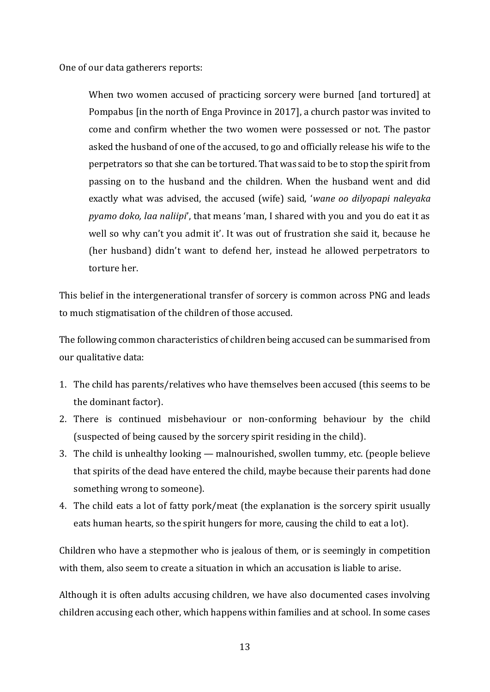One of our data gatherers reports:

When two women accused of practicing sorcery were burned [and tortured] at Pompabus [in the north of Enga Province in 2017], a church pastor was invited to come and confirm whether the two women were possessed or not. The pastor asked the husband of one of the accused, to go and officially release his wife to the perpetrators so that she can be tortured. That was said to be to stop the spirit from passing on to the husband and the children. When the husband went and did exactly what was advised, the accused (wife) said, '*wane oo dilyopapi naleyaka pyamo doko, laa naliipi*', that means 'man, I shared with you and you do eat it as well so why can't you admit it'. It was out of frustration she said it, because he (her husband) didn't want to defend her, instead he allowed perpetrators to torture her.

This belief in the intergenerational transfer of sorcery is common across PNG and leads to much stigmatisation of the children of those accused.

The following common characteristics of children being accused can be summarised from our qualitative data:

- 1. The child has parents/relatives who have themselves been accused (this seems to be the dominant factor).
- 2. There is continued misbehaviour or non-conforming behaviour by the child (suspected of being caused by the sorcery spirit residing in the child).
- 3. The child is unhealthy looking malnourished, swollen tummy, etc. (people believe that spirits of the dead have entered the child, maybe because their parents had done something wrong to someone).
- 4. The child eats a lot of fatty pork/meat (the explanation is the sorcery spirit usually eats human hearts, so the spirit hungers for more, causing the child to eat a lot).

Children who have a stepmother who is jealous of them, or is seemingly in competition with them, also seem to create a situation in which an accusation is liable to arise.

Although it is often adults accusing children, we have also documented cases involving children accusing each other, which happens within families and at school. In some cases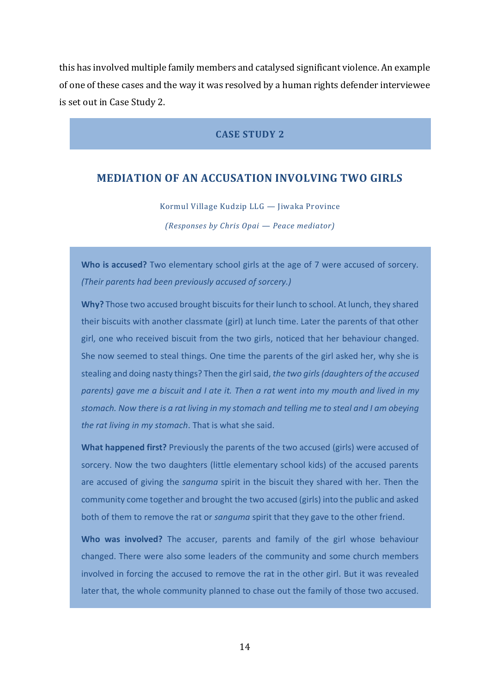this has involved multiple family members and catalysed significant violence. An example of one of these cases and the way it was resolved by a human rights defender interviewee is set out in Case Study 2.

#### **CASE STUDY 2**

### **MEDIATION OF AN ACCUSATION INVOLVING TWO GIRLS**

Kormul Village Kudzip LLG — Jiwaka Province

*(Responses by Chris Opai — Peace mediator)*

**Who is accused?** Two elementary school girls at the age of 7 were accused of sorcery. *(Their parents had been previously accused of sorcery.)*

**Why?** Those two accused brought biscuits for their lunch to school. At lunch, they shared their biscuits with another classmate (girl) at lunch time. Later the parents of that other girl, one who received biscuit from the two girls, noticed that her behaviour changed. She now seemed to steal things. One time the parents of the girl asked her, why she is stealing and doing nasty things? Then the girl said, *the two girls (daughters of the accused parents) gave me a biscuit and I ate it. Then a rat went into my mouth and lived in my stomach. Now there is a rat living in my stomach and telling me to steal and I am obeying the rat living in my stomach*. That is what she said.

**What happened first?** Previously the parents of the two accused (girls) were accused of sorcery. Now the two daughters (little elementary school kids) of the accused parents are accused of giving the *sanguma* spirit in the biscuit they shared with her. Then the community come together and brought the two accused (girls) into the public and asked both of them to remove the rat or *sanguma* spirit that they gave to the other friend.

**Who was involved?** The accuser, parents and family of the girl whose behaviour changed. There were also some leaders of the community and some church members involved in forcing the accused to remove the rat in the other girl. But it was revealed later that, the whole community planned to chase out the family of those two accused.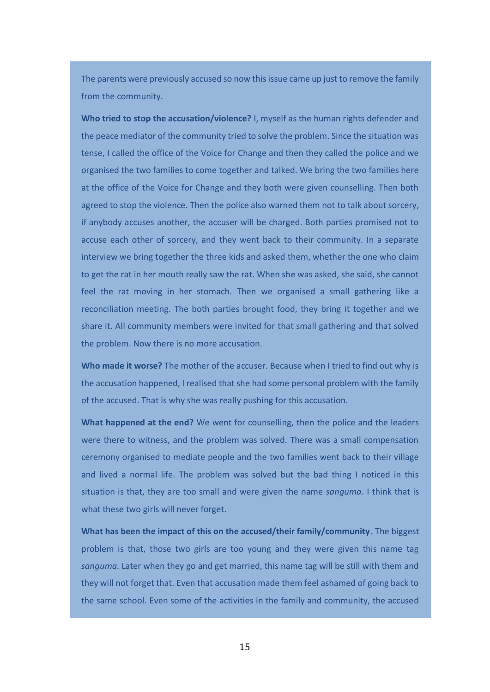The parents were previously accused so now this issue came up just to remove the family from the community.

**Who tried to stop the accusation/violence?** I, myself as the human rights defender and the peace mediator of the community tried to solve the problem. Since the situation was tense, I called the office of the Voice for Change and then they called the police and we organised the two families to come together and talked. We bring the two families here at the office of the Voice for Change and they both were given counselling. Then both agreed to stop the violence. Then the police also warned them not to talk about sorcery, if anybody accuses another, the accuser will be charged. Both parties promised not to accuse each other of sorcery, and they went back to their community. In a separate interview we bring together the three kids and asked them, whether the one who claim to get the rat in her mouth really saw the rat. When she was asked, she said, she cannot feel the rat moving in her stomach. Then we organised a small gathering like a reconciliation meeting. The both parties brought food, they bring it together and we share it. All community members were invited for that small gathering and that solved the problem. Now there is no more accusation.

**Who made it worse?** The mother of the accuser. Because when I tried to find out why is the accusation happened, I realised that she had some personal problem with the family of the accused. That is why she was really pushing for this accusation.

**What happened at the end?** We went for counselling, then the police and the leaders were there to witness, and the problem was solved. There was a small compensation ceremony organised to mediate people and the two families went back to their village and lived a normal life. The problem was solved but the bad thing I noticed in this situation is that, they are too small and were given the name *sanguma*. I think that is what these two girls will never forget.

**What has been the impact of this on the accused/their family/community.** The biggest problem is that, those two girls are too young and they were given this name tag *sanguma*. Later when they go and get married, this name tag will be still with them and they will not forget that. Even that accusation made them feel ashamed of going back to the same school. Even some of the activities in the family and community, the accused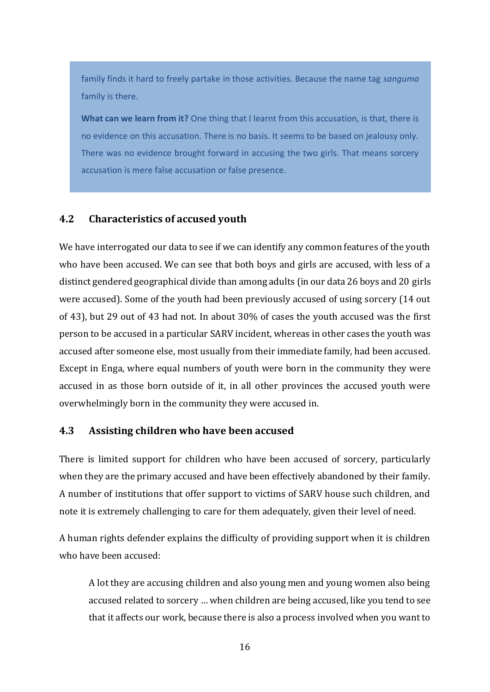family finds it hard to freely partake in those activities. Because the name tag *sanguma* family is there.

**What can we learn from it?** One thing that I learnt from this accusation, is that, there is no evidence on this accusation. There is no basis. It seems to be based on jealousy only. There was no evidence brought forward in accusing the two girls. That means sorcery accusation is mere false accusation or false presence.

### **4.2 Characteristics of accused youth**

We have interrogated our data to see if we can identify any common features of the youth who have been accused. We can see that both boys and girls are accused, with less of a distinct gendered geographical divide than among adults (in our data 26 boys and 20 girls were accused). Some of the youth had been previously accused of using sorcery (14 out of 43), but 29 out of 43 had not. In about 30% of cases the youth accused was the first person to be accused in a particular SARV incident, whereas in other cases the youth was accused after someone else, most usually from their immediate family, had been accused. Except in Enga, where equal numbers of youth were born in the community they were accused in as those born outside of it, in all other provinces the accused youth were overwhelmingly born in the community they were accused in.

### **4.3 Assisting children who have been accused**

There is limited support for children who have been accused of sorcery, particularly when they are the primary accused and have been effectively abandoned by their family. A number of institutions that offer support to victims of SARV house such children, and note it is extremely challenging to care for them adequately, given their level of need.

A human rights defender explains the difficulty of providing support when it is children who have been accused:

A lot they are accusing children and also young men and young women also being accused related to sorcery … when children are being accused, like you tend to see that it affects our work, because there is also a process involved when you want to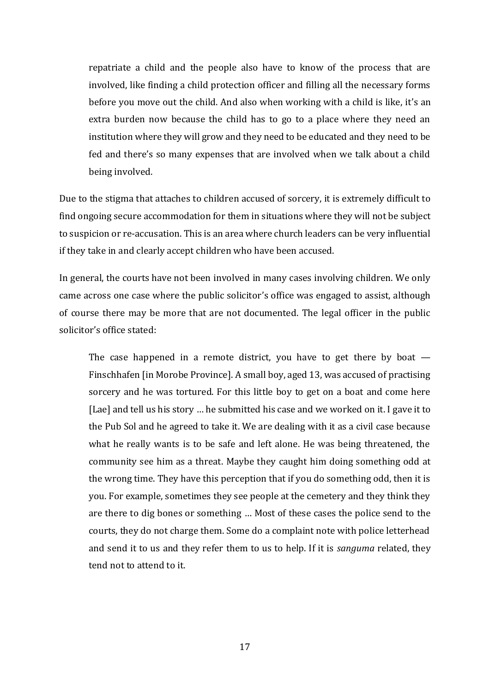repatriate a child and the people also have to know of the process that are involved, like finding a child protection officer and filling all the necessary forms before you move out the child. And also when working with a child is like, it's an extra burden now because the child has to go to a place where they need an institution where they will grow and they need to be educated and they need to be fed and there's so many expenses that are involved when we talk about a child being involved.

Due to the stigma that attaches to children accused of sorcery, it is extremely difficult to find ongoing secure accommodation for them in situations where they will not be subject to suspicion or re-accusation. This is an area where church leaders can be very influential if they take in and clearly accept children who have been accused.

In general, the courts have not been involved in many cases involving children. We only came across one case where the public solicitor's office was engaged to assist, although of course there may be more that are not documented. The legal officer in the public solicitor's office stated:

The case happened in a remote district, you have to get there by boat  $-$ Finschhafen [in Morobe Province]. A small boy, aged 13, was accused of practising sorcery and he was tortured. For this little boy to get on a boat and come here [Lae] and tell us his story … he submitted his case and we worked on it. I gave it to the Pub Sol and he agreed to take it. We are dealing with it as a civil case because what he really wants is to be safe and left alone. He was being threatened, the community see him as a threat. Maybe they caught him doing something odd at the wrong time. They have this perception that if you do something odd, then it is you. For example, sometimes they see people at the cemetery and they think they are there to dig bones or something … Most of these cases the police send to the courts, they do not charge them. Some do a complaint note with police letterhead and send it to us and they refer them to us to help. If it is *sanguma* related, they tend not to attend to it.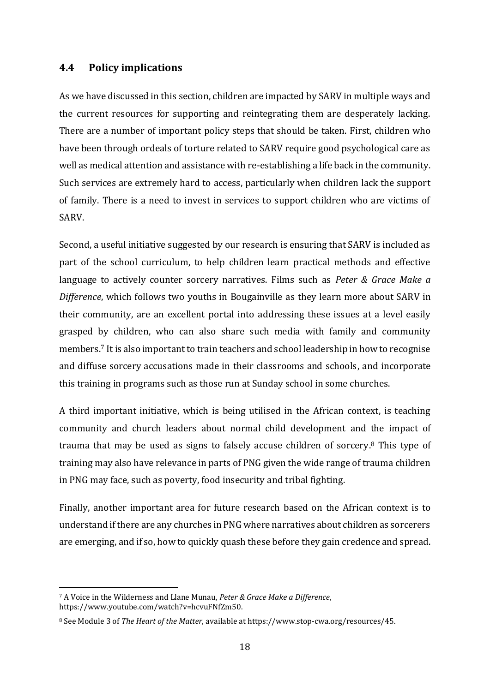### **4.4 Policy implications**

As we have discussed in this section, children are impacted by SARV in multiple ways and the current resources for supporting and reintegrating them are desperately lacking. There are a number of important policy steps that should be taken. First, children who have been through ordeals of torture related to SARV require good psychological care as well as medical attention and assistance with re-establishing a life back in the community. Such services are extremely hard to access, particularly when children lack the support of family. There is a need to invest in services to support children who are victims of SARV.

Second, a useful initiative suggested by our research is ensuring that SARV is included as part of the school curriculum, to help children learn practical methods and effective language to actively counter sorcery narratives. Films such as *Peter & Grace Make a Difference*, which follows two youths in Bougainville as they learn more about SARV in their community, are an excellent portal into addressing these issues at a level easily grasped by children, who can also share such media with family and community members.<sup>7</sup> It is also important to train teachers and school leadership in how to recognise and diffuse sorcery accusations made in their classrooms and schools, and incorporate this training in programs such as those run at Sunday school in some churches.

A third important initiative, which is being utilised in the African context, is teaching community and church leaders about normal child development and the impact of trauma that may be used as signs to falsely accuse children of sorcery. <sup>8</sup> This type of training may also have relevance in parts of PNG given the wide range of trauma children in PNG may face, such as poverty, food insecurity and tribal fighting.

Finally, another important area for future research based on the African context is to understand if there are any churches in PNG where narratives about children as sorcerers are emerging, and if so, how to quickly quash these before they gain credence and spread.

<sup>7</sup> A Voice in the Wilderness and Llane Munau, *Peter & Grace Make a Difference*, [https://www.youtube.com/watch?v=hcvuFNfZm50.](https://www.youtube.com/watch?v=hcvuFNfZm50)

<sup>8</sup> See Module 3 of *The Heart of the Matter*, available at [https://www.stop-cwa.org/resources/45.](https://www.stop-cwa.org/resources/45)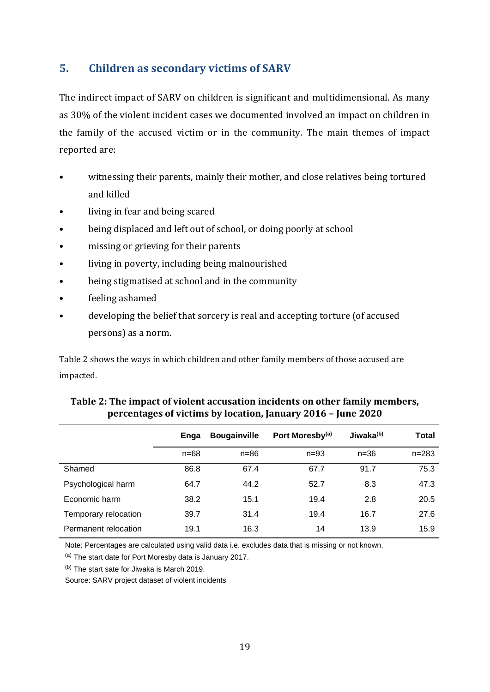# **5. Children as secondary victims of SARV**

The indirect impact of SARV on children is significant and multidimensional. As many as 30% of the violent incident cases we documented involved an impact on children in the family of the accused victim or in the community. The main themes of impact reported are:

- witnessing their parents, mainly their mother, and close relatives being tortured and killed
- living in fear and being scared
- being displaced and left out of school, or doing poorly at school
- missing or grieving for their parents
- living in poverty, including being malnourished
- being stigmatised at school and in the community
- feeling ashamed
- developing the belief that sorcery is real and accepting torture (of accused persons) as a norm.

Table 2 shows the ways in which children and other family members of those accused are impacted.

|                      | Enga     | <b>Bougainville</b> | Port Moresby <sup>(a)</sup> | Jiwaka <sup>(b)</sup> | Total     |
|----------------------|----------|---------------------|-----------------------------|-----------------------|-----------|
|                      | $n = 68$ | $n = 86$            | $n = 93$                    | $n = 36$              | $n = 283$ |
| Shamed               | 86.8     | 67.4                | 67.7                        | 91.7                  | 75.3      |
| Psychological harm   | 64.7     | 44.2                | 52.7                        | 8.3                   | 47.3      |
| Economic harm        | 38.2     | 15.1                | 19.4                        | 2.8                   | 20.5      |
| Temporary relocation | 39.7     | 31.4                | 19.4                        | 16.7                  | 27.6      |
| Permanent relocation | 19.1     | 16.3                | 14                          | 13.9                  | 15.9      |

### **Table 2: The impact of violent accusation incidents on other family members, percentages of victims by location, January 2016 – June 2020**

Note: Percentages are calculated using valid data i.e. excludes data that is missing or not known.

(a) The start date for Port Moresby data is January 2017.

 $(b)$  The start sate for Jiwaka is March 2019.

Source: SARV project dataset of violent incidents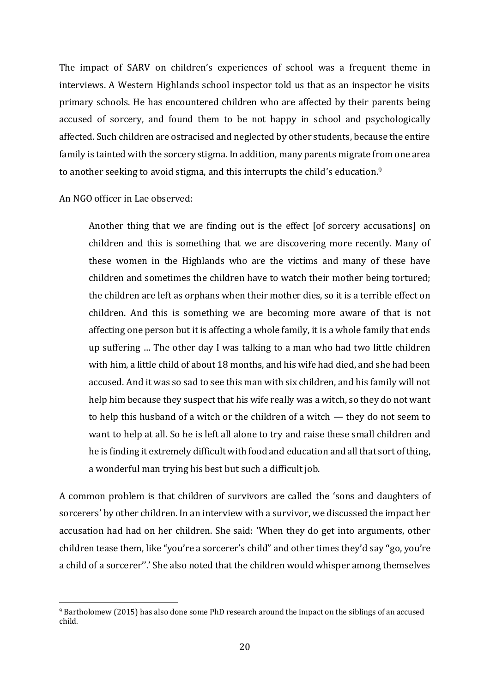The impact of SARV on children's experiences of school was a frequent theme in interviews. A Western Highlands school inspector told us that as an inspector he visits primary schools. He has encountered children who are affected by their parents being accused of sorcery, and found them to be not happy in school and psychologically affected. Such children are ostracised and neglected by other students, because the entire family is tainted with the sorcery stigma. In addition, many parents migrate from one area to another seeking to avoid stigma, and this interrupts the child's education.<sup>9</sup>

An NGO officer in Lae observed:

Another thing that we are finding out is the effect [of sorcery accusations] on children and this is something that we are discovering more recently. Many of these women in the Highlands who are the victims and many of these have children and sometimes the children have to watch their mother being tortured; the children are left as orphans when their mother dies, so it is a terrible effect on children. And this is something we are becoming more aware of that is not affecting one person but it is affecting a whole family, it is a whole family that ends up suffering … The other day I was talking to a man who had two little children with him, a little child of about 18 months, and his wife had died, and she had been accused. And it was so sad to see this man with six children, and his family will not help him because they suspect that his wife really was a witch, so they do not want to help this husband of a witch or the children of a witch — they do not seem to want to help at all. So he is left all alone to try and raise these small children and he is finding it extremely difficult with food and education and all that sort of thing, a wonderful man trying his best but such a difficult job.

A common problem is that children of survivors are called the 'sons and daughters of sorcerers' by other children. In an interview with a survivor, we discussed the impact her accusation had had on her children. She said: 'When they do get into arguments, other children tease them, like "you're a sorcerer's child" and other times they'd say ''go, you're a child of a sorcerer''.' She also noted that the children would whisper among themselves

<sup>9</sup> Bartholomew (2015) has also done some PhD research around the impact on the siblings of an accused child.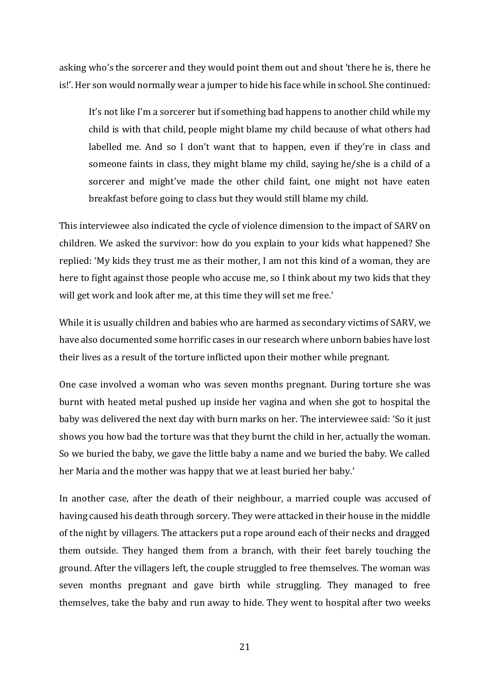asking who's the sorcerer and they would point them out and shout 'there he is, there he is!'. Her son would normally wear a jumper to hide his face while in school. She continued:

It's not like I'm a sorcerer but if something bad happens to another child while my child is with that child, people might blame my child because of what others had labelled me. And so I don't want that to happen, even if they're in class and someone faints in class, they might blame my child, saying he/she is a child of a sorcerer and might've made the other child faint, one might not have eaten breakfast before going to class but they would still blame my child.

This interviewee also indicated the cycle of violence dimension to the impact of SARV on children. We asked the survivor: how do you explain to your kids what happened? She replied: 'My kids they trust me as their mother, I am not this kind of a woman, they are here to fight against those people who accuse me, so I think about my two kids that they will get work and look after me, at this time they will set me free.'

While it is usually children and babies who are harmed as secondary victims of SARV, we have also documented some horrific cases in our research where unborn babies have lost their lives as a result of the torture inflicted upon their mother while pregnant.

One case involved a woman who was seven months pregnant. During torture she was burnt with heated metal pushed up inside her vagina and when she got to hospital the baby was delivered the next day with burn marks on her. The interviewee said: 'So it just shows you how bad the torture was that they burnt the child in her, actually the woman. So we buried the baby, we gave the little baby a name and we buried the baby. We called her Maria and the mother was happy that we at least buried her baby.'

In another case, after the death of their neighbour, a married couple was accused of having caused his death through sorcery. They were attacked in their house in the middle of the night by villagers. The attackers put a rope around each of their necks and dragged them outside. They hanged them from a branch, with their feet barely touching the ground. After the villagers left, the couple struggled to free themselves. The woman was seven months pregnant and gave birth while struggling. They managed to free themselves, take the baby and run away to hide. They went to hospital after two weeks

21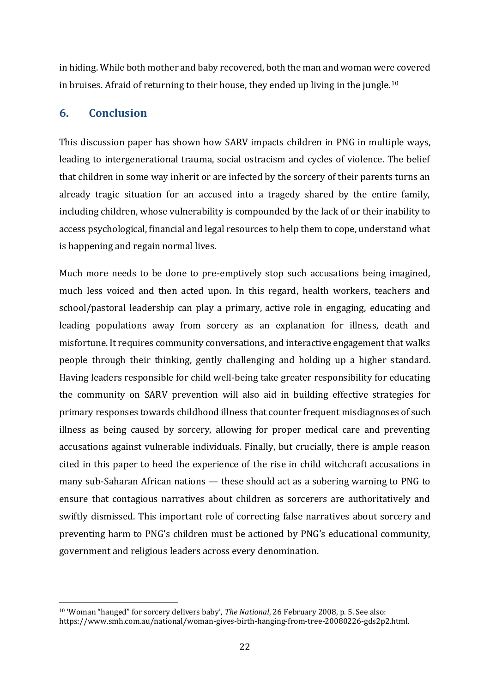in hiding. While both mother and baby recovered, both the man and woman were covered in bruises. Afraid of returning to their house, they ended up living in the jungle.<sup>10</sup>

# **6. Conclusion**

This discussion paper has shown how SARV impacts children in PNG in multiple ways, leading to intergenerational trauma, social ostracism and cycles of violence. The belief that children in some way inherit or are infected by the sorcery of their parents turns an already tragic situation for an accused into a tragedy shared by the entire family, including children, whose vulnerability is compounded by the lack of or their inability to access psychological, financial and legal resources to help them to cope, understand what is happening and regain normal lives.

Much more needs to be done to pre-emptively stop such accusations being imagined, much less voiced and then acted upon. In this regard, health workers, teachers and school/pastoral leadership can play a primary, active role in engaging, educating and leading populations away from sorcery as an explanation for illness, death and misfortune. It requires community conversations, and interactive engagement that walks people through their thinking, gently challenging and holding up a higher standard. Having leaders responsible for child well-being take greater responsibility for educating the community on SARV prevention will also aid in building effective strategies for primary responses towards childhood illness that counter frequent misdiagnoses of such illness as being caused by sorcery, allowing for proper medical care and preventing accusations against vulnerable individuals. Finally, but crucially, there is ample reason cited in this paper to heed the experience of the rise in child witchcraft accusations in many sub-Saharan African nations — these should act as a sobering warning to PNG to ensure that contagious narratives about children as sorcerers are authoritatively and swiftly dismissed. This important role of correcting false narratives about sorcery and preventing harm to PNG's children must be actioned by PNG's educational community, government and religious leaders across every denomination.

<sup>10</sup> 'Woman "hanged" for sorcery delivers baby', *The National*, 26 February 2008, p. 5. See also: [https://www.smh.com.au/national/woman-gives-birth-hanging-from-tree-20080226-gds2p2.html.](https://www.smh.com.au/national/woman-gives-birth-hanging-from-tree-20080226-gds2p2.html)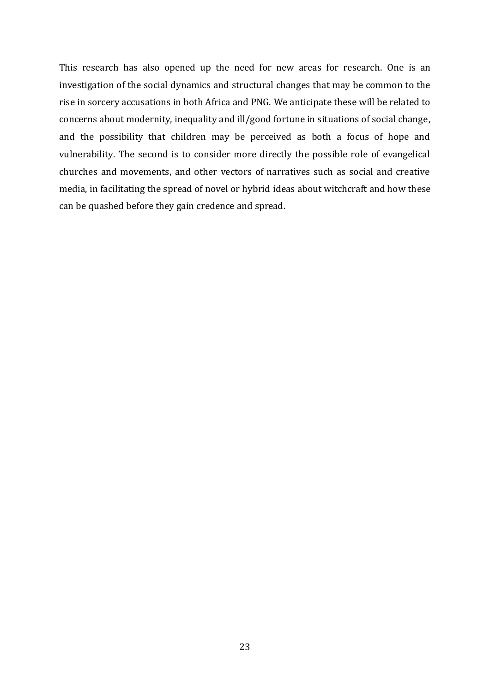This research has also opened up the need for new areas for research. One is an investigation of the social dynamics and structural changes that may be common to the rise in sorcery accusations in both Africa and PNG. We anticipate these will be related to concerns about modernity, inequality and ill/good fortune in situations of social change, and the possibility that children may be perceived as both a focus of hope and vulnerability. The second is to consider more directly the possible role of evangelical churches and movements, and other vectors of narratives such as social and creative media, in facilitating the spread of novel or hybrid ideas about witchcraft and how these can be quashed before they gain credence and spread.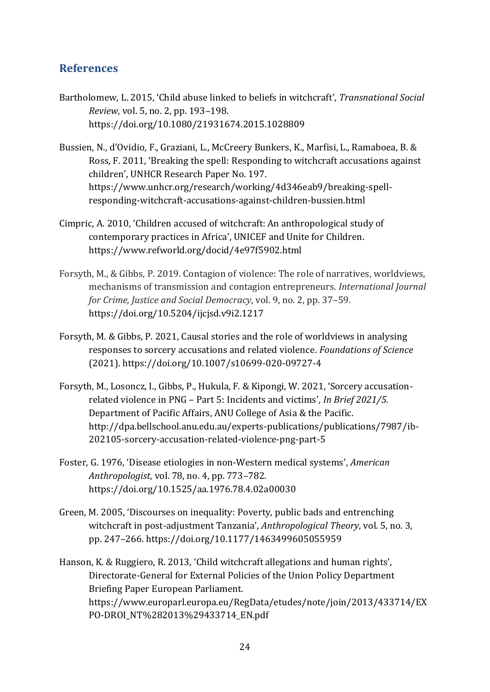# **References**

- Bartholomew, L. 2015, 'Child abuse linked to beliefs in witchcraft', *Transnational Social Review*, vol. 5, no. 2, pp. 193–198. <https://doi.org/10.1080/21931674.2015.1028809>
- Bussien, N., d'Ovidio, F., Graziani, L., McCreery Bunkers, K., Marfisi, L., Ramaboea, B. & Ross, F. 2011, 'Breaking the spell: Responding to witchcraft accusations against children', UNHCR Research Paper No. 197. [https://www.unhcr.org/research/working/4d346eab9/breaking-spell](https://www.unhcr.org/research/working/4d346eab9/breaking-spell-responding-witchcraft-accusations-against-children-bussien.html)[responding-witchcraft-accusations-against-children-bussien.html](https://www.unhcr.org/research/working/4d346eab9/breaking-spell-responding-witchcraft-accusations-against-children-bussien.html)
- Cimpric, A. 2010, 'Children accused of witchcraft: An anthropological study of contemporary practices in Africa', UNICEF and Unite for Children. <https://www.refworld.org/docid/4e97f5902.html>
- Forsyth, M., & Gibbs, P. 2019. Contagion of violence: The role of narratives, worldviews, mechanisms of transmission and contagion entrepreneurs. *International Journal for Crime, Justice and Social Democracy*, vol. 9, no. 2, pp. 37–59. <https://doi.org/10.5204/ijcjsd.v9i2.1217>
- Forsyth, M. & Gibbs, P. 2021, Causal stories and the role of worldviews in analysing responses to sorcery accusations and related violence. *Foundations of Science* (2021).<https://doi.org/10.1007/s10699-020-09727-4>
- Forsyth, M., Losoncz, I., Gibbs, P., Hukula, F. & Kipongi, W. 2021, 'Sorcery accusationrelated violence in PNG – Part 5: Incidents and victims', *In Brief 2021/5*. Department of Pacific Affairs, ANU College of Asia & the Pacific. [http://dpa.bellschool.anu.edu.au/experts-publications/publications/7987/ib-](http://dpa.bellschool.anu.edu.au/experts-publications/publications/7987/ib-202105-sorcery-accusation-related-violence-png-part-5)[202105-sorcery-accusation-related-violence-png-part-5](http://dpa.bellschool.anu.edu.au/experts-publications/publications/7987/ib-202105-sorcery-accusation-related-violence-png-part-5)
- Foster, G. 1976, 'Disease etiologies in non-Western medical systems', *American Anthropologist*, vol. 78, no. 4, pp. 773–782. https://doi.org/10.1525/aa.1976.78.4.02a00030
- Green, M. 2005, 'Discourses on inequality: Poverty, public bads and entrenching witchcraft in post-adjustment Tanzania', *Anthropological Theory*, vol. 5, no. 3, pp. 247–266. <https://doi.org/10.1177/1463499605055959>

Hanson, K. & Ruggiero, R. 2013, 'Child witchcraft allegations and human rights', Directorate-General for External Policies of the Union Policy Department Briefing Paper European Parliament. [https://www.europarl.europa.eu/RegData/etudes/note/join/2013/433714/EX](https://www.europarl.europa.eu/RegData/etudes/note/join/2013/433714/EXPO-DROI_NT%282013%29433714_EN.pdf) [PO-DROI\\_NT%282013%29433714\\_EN.pdf](https://www.europarl.europa.eu/RegData/etudes/note/join/2013/433714/EXPO-DROI_NT%282013%29433714_EN.pdf)